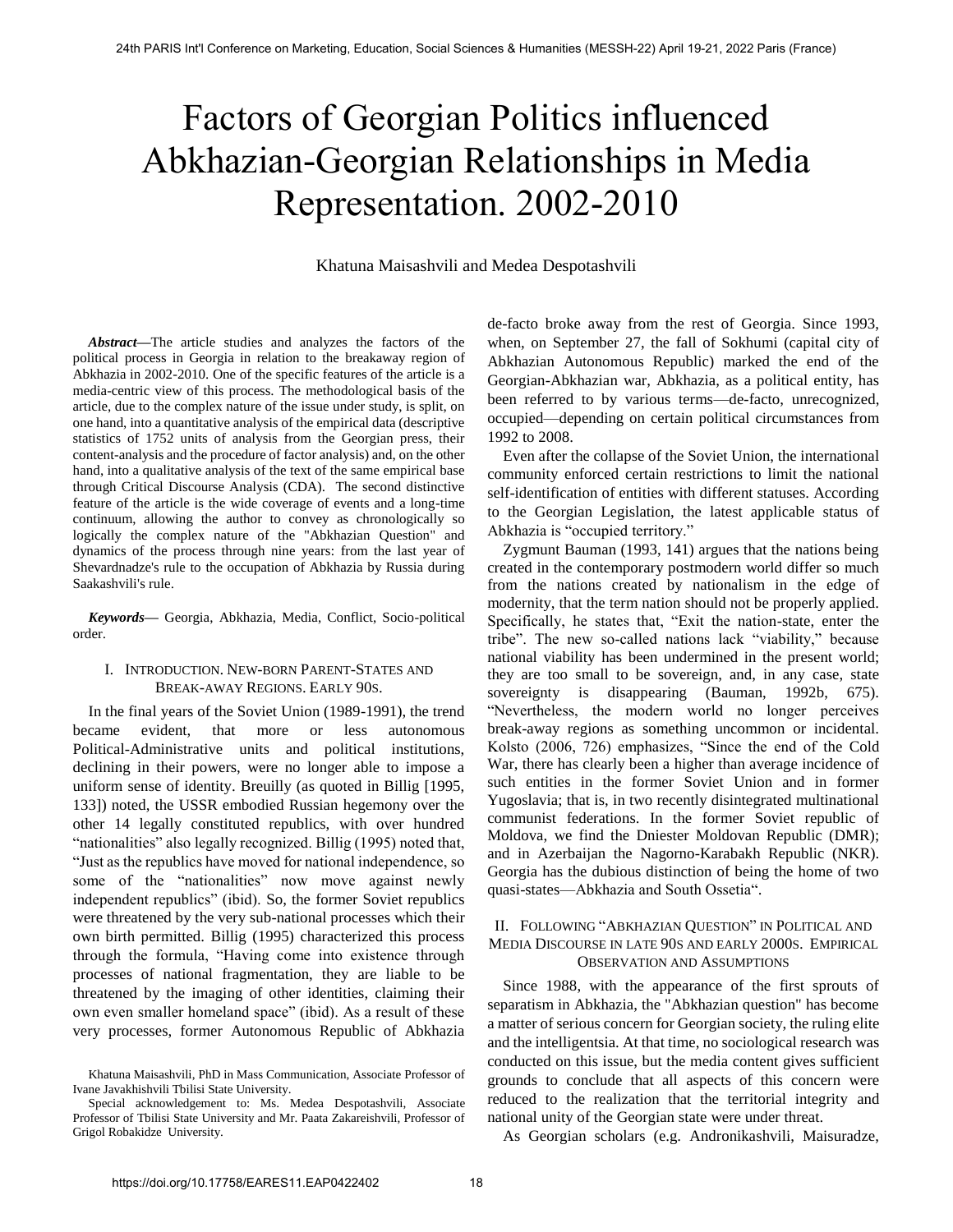# Factors of Georgian Politics influenced Abkhazian-Georgian Relationships in Media Representation. 2002-2010

## Khatuna Maisashvili and Medea Despotashvili

*Abstract***—**The article studies and analyzes the factors of the political process in Georgia in relation to the breakaway region of Abkhazia in 2002-2010. One of the specific features of the article is a media-centric view of this process. The methodological basis of the article, due to the complex nature of the issue under study, is split, on one hand, into a quantitative analysis of the empirical data (descriptive statistics of 1752 units of analysis from the Georgian press, their content-analysis and the procedure of factor analysis) and, on the other hand, into a qualitative analysis of the text of the same empirical base through Critical Discourse Analysis (CDA). The second distinctive feature of the article is the wide coverage of events and a long-time continuum, allowing the author to convey as chronologically so logically the complex nature of the "Abkhazian Question" and dynamics of the process through nine years: from the last year of Shevardnadze's rule to the occupation of Abkhazia by Russia during Saakashvili's rule.

*Keywords***—** Georgia, Abkhazia, Media, Conflict, Socio-political order.

## I. INTRODUCTION. NEW-BORN PARENT-STATES AND BREAK-AWAY REGIONS. EARLY 90S.

In the final years of the Soviet Union (1989-1991), the trend became evident, that more or less autonomous Political-Administrative units and political institutions, declining in their powers, were no longer able to impose a uniform sense of identity. Breuilly (as quoted in Billig [1995, 133]) noted, the USSR embodied Russian hegemony over the other 14 legally constituted republics, with over hundred "nationalities" also legally recognized. Billig (1995) noted that, ―Just as the republics have moved for national independence, so some of the "nationalities" now move against newly independent republics" (ibid). So, the former Soviet republics were threatened by the very sub-national processes which their own birth permitted. Billig (1995) characterized this process through the formula, "Having come into existence through processes of national fragmentation, they are liable to be threatened by the imaging of other identities, claiming their own even smaller homeland space" (ibid). As a result of these very processes, former Autonomous Republic of Abkhazia

de-facto broke away from the rest of Georgia. Since 1993, when, on September 27, the fall of Sokhumi (capital city of Abkhazian Autonomous Republic) marked the end of the Georgian-Abkhazian war, Abkhazia, as a political entity, has been referred to by various terms—de-facto, unrecognized, occupied—depending on certain political circumstances from 1992 to 2008.

Even after the collapse of the Soviet Union, the international community enforced certain restrictions to limit the national self-identification of entities with different statuses. According to the Georgian Legislation, the latest applicable status of Abkhazia is "occupied territory."

Zygmunt Bauman (1993, 141) argues that the nations being created in the contemporary postmodern world differ so much from the nations created by nationalism in the edge of modernity, that the term nation should not be properly applied. Specifically, he states that, "Exit the nation-state, enter the tribe". The new so-called nations lack "viability," because national viability has been undermined in the present world; they are too small to be sovereign, and, in any case, state sovereignty is disappearing (Bauman, 1992b, 675). ―Nevertheless, the modern world no longer perceives break-away regions as something uncommon or incidental. Kolsto (2006, 726) emphasizes, "Since the end of the Cold War, there has clearly been a higher than average incidence of such entities in the former Soviet Union and in former Yugoslavia; that is, in two recently disintegrated multinational communist federations. In the former Soviet republic of Moldova, we find the Dniester Moldovan Republic (DMR); and in Azerbaijan the Nagorno-Karabakh Republic (NKR). Georgia has the dubious distinction of being the home of two quasi-states—Abkhazia and South Ossetia".

## II. FOLLOWING "ABKHAZIAN QUESTION" IN POLITICAL AND MEDIA DISCOURSE IN LATE 90S AND EARLY 2000S. EMPIRICAL OBSERVATION AND ASSUMPTIONS

Since 1988, with the appearance of the first sprouts of separatism in Abkhazia, the "Abkhazian question" has become a matter of serious concern for Georgian society, the ruling elite and the intelligentsia. At that time, no sociological research was conducted on this issue, but the media content gives sufficient grounds to conclude that all aspects of this concern were reduced to the realization that the territorial integrity and national unity of the Georgian state were under threat.

As Georgian scholars (e.g. Andronikashvili, Maisuradze,

Khatuna Maisashvili, PhD in Mass Communication, Associate Professor of Ivane Javakhishvili Tbilisi State University.

Special acknowledgement to: Ms. Medea Despotashvili, Associate Professor of Tbilisi State University and Mr. Paata Zakareishvili, Professor of Grigol Robakidze University.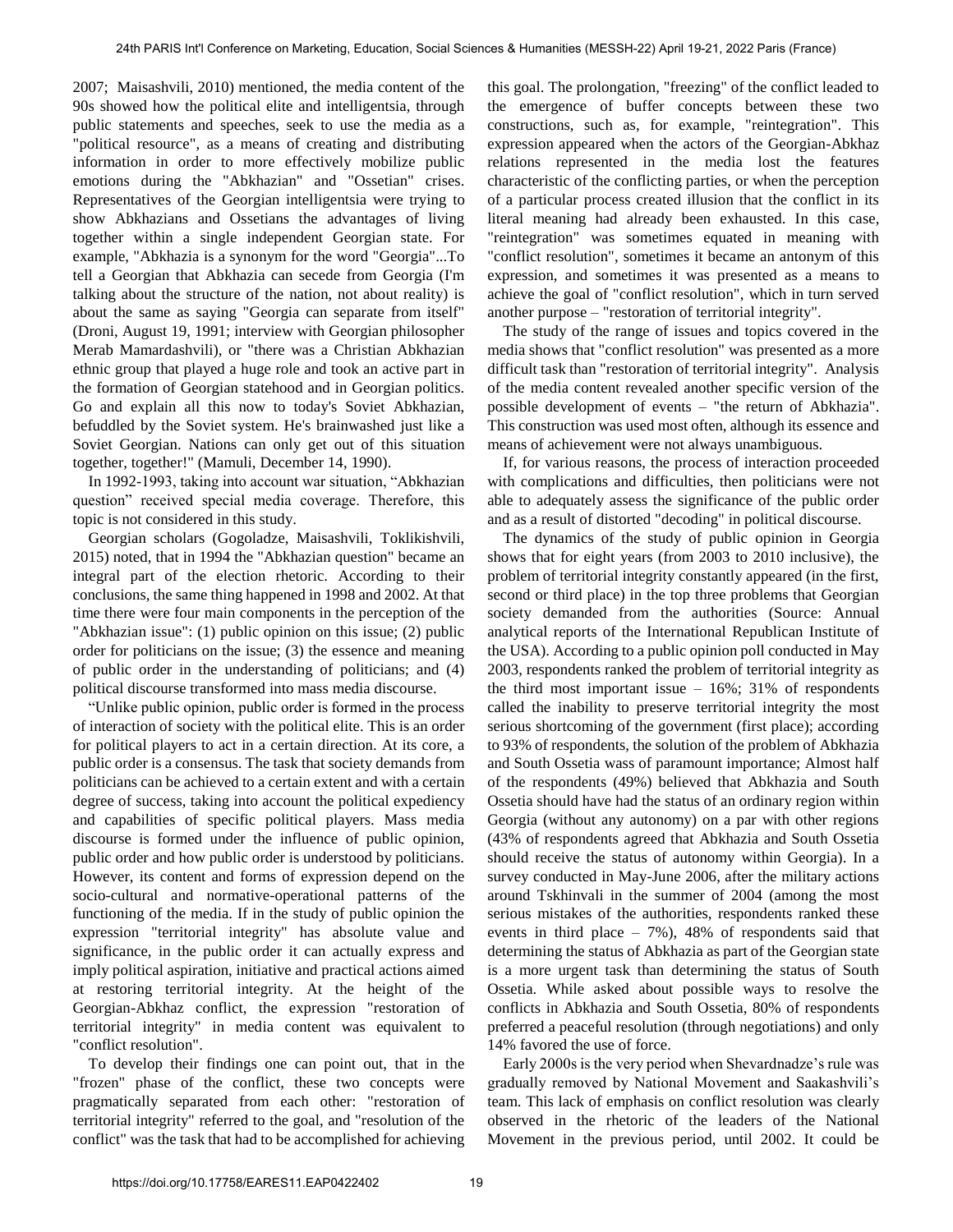2007; Maisashvili, 2010) mentioned, the media content of the 90s showed how the political elite and intelligentsia, through public statements and speeches, seek to use the media as a "political resource", as a means of creating and distributing information in order to more effectively mobilize public emotions during the "Abkhazian" and "Ossetian" crises. Representatives of the Georgian intelligentsia were trying to show Abkhazians and Ossetians the advantages of living together within a single independent Georgian state. For example, "Abkhazia is a synonym for the word "Georgia"...To tell a Georgian that Abkhazia can secede from Georgia (I'm talking about the structure of the nation, not about reality) is about the same as saying "Georgia can separate from itself" (Droni, August 19, 1991; interview with Georgian philosopher Merab Mamardashvili), or "there was a Christian Abkhazian ethnic group that played a huge role and took an active part in the formation of Georgian statehood and in Georgian politics. Go and explain all this now to today's Soviet Abkhazian, befuddled by the Soviet system. He's brainwashed just like a Soviet Georgian. Nations can only get out of this situation together, together!" (Mamuli, December 14, 1990).

In 1992-1993, taking into account war situation, "Abkhazian question" received special media coverage. Therefore, this topic is not considered in this study.

Georgian scholars (Gogoladze, Maisashvili, Toklikishvili, 2015) noted, that in 1994 the "Abkhazian question" became an integral part of the election rhetoric. According to their conclusions, the same thing happened in 1998 and 2002. At that time there were four main components in the perception of the "Abkhazian issue": (1) public opinion on this issue; (2) public order for politicians on the issue; (3) the essence and meaning of public order in the understanding of politicians; and (4) political discourse transformed into mass media discourse.

―Unlike public opinion, public order is formed in the process of interaction of society with the political elite. This is an order for political players to act in a certain direction. At its core, a public order is a consensus. The task that society demands from politicians can be achieved to a certain extent and with a certain degree of success, taking into account the political expediency and capabilities of specific political players. Mass media discourse is formed under the influence of public opinion, public order and how public order is understood by politicians. However, its content and forms of expression depend on the socio-cultural and normative-operational patterns of the functioning of the media. If in the study of public opinion the expression "territorial integrity" has absolute value and significance, in the public order it can actually express and imply political aspiration, initiative and practical actions aimed at restoring territorial integrity. At the height of the Georgian-Abkhaz conflict, the expression "restoration of territorial integrity" in media content was equivalent to "conflict resolution".

To develop their findings one can point out, that in the "frozen" phase of the conflict, these two concepts were pragmatically separated from each other: "restoration of territorial integrity" referred to the goal, and "resolution of the conflict" was the task that had to be accomplished for achieving this goal. The prolongation, "freezing" of the conflict leaded to the emergence of buffer concepts between these two constructions, such as, for example, "reintegration". This expression appeared when the actors of the Georgian-Abkhaz relations represented in the media lost the features characteristic of the conflicting parties, or when the perception of a particular process created illusion that the conflict in its literal meaning had already been exhausted. In this case, "reintegration" was sometimes equated in meaning with "conflict resolution", sometimes it became an antonym of this expression, and sometimes it was presented as a means to achieve the goal of "conflict resolution", which in turn served another purpose – "restoration of territorial integrity".

The study of the range of issues and topics covered in the media shows that "conflict resolution" was presented as a more difficult task than "restoration of territorial integrity". Analysis of the media content revealed another specific version of the possible development of events – "the return of Abkhazia". This construction was used most often, although its essence and means of achievement were not always unambiguous.

If, for various reasons, the process of interaction proceeded with complications and difficulties, then politicians were not able to adequately assess the significance of the public order and as a result of distorted "decoding" in political discourse.

The dynamics of the study of public opinion in Georgia shows that for eight years (from 2003 to 2010 inclusive), the problem of territorial integrity constantly appeared (in the first, second or third place) in the top three problems that Georgian society demanded from the authorities (Source: Annual analytical reports of the International Republican Institute of the USA). According to a public opinion poll conducted in May 2003, respondents ranked the problem of territorial integrity as the third most important issue  $-16\%$ ; 31% of respondents called the inability to preserve territorial integrity the most serious shortcoming of the government (first place); according to 93% of respondents, the solution of the problem of Abkhazia and South Ossetia wass of paramount importance; Almost half of the respondents (49%) believed that Abkhazia and South Ossetia should have had the status of an ordinary region within Georgia (without any autonomy) on a par with other regions (43% of respondents agreed that Abkhazia and South Ossetia should receive the status of autonomy within Georgia). In a survey conducted in May-June 2006, after the military actions around Tskhinvali in the summer of 2004 (among the most serious mistakes of the authorities, respondents ranked these events in third place  $-7\%$ ), 48% of respondents said that determining the status of Abkhazia as part of the Georgian state is a more urgent task than determining the status of South Ossetia. While asked about possible ways to resolve the conflicts in Abkhazia and South Ossetia, 80% of respondents preferred a peaceful resolution (through negotiations) and only 14% favored the use of force.

Early 2000s is the very period when Shevardnadze's rule was gradually removed by National Movement and Saakashvili's team. This lack of emphasis on conflict resolution was clearly observed in the rhetoric of the leaders of the National Movement in the previous period, until 2002. It could be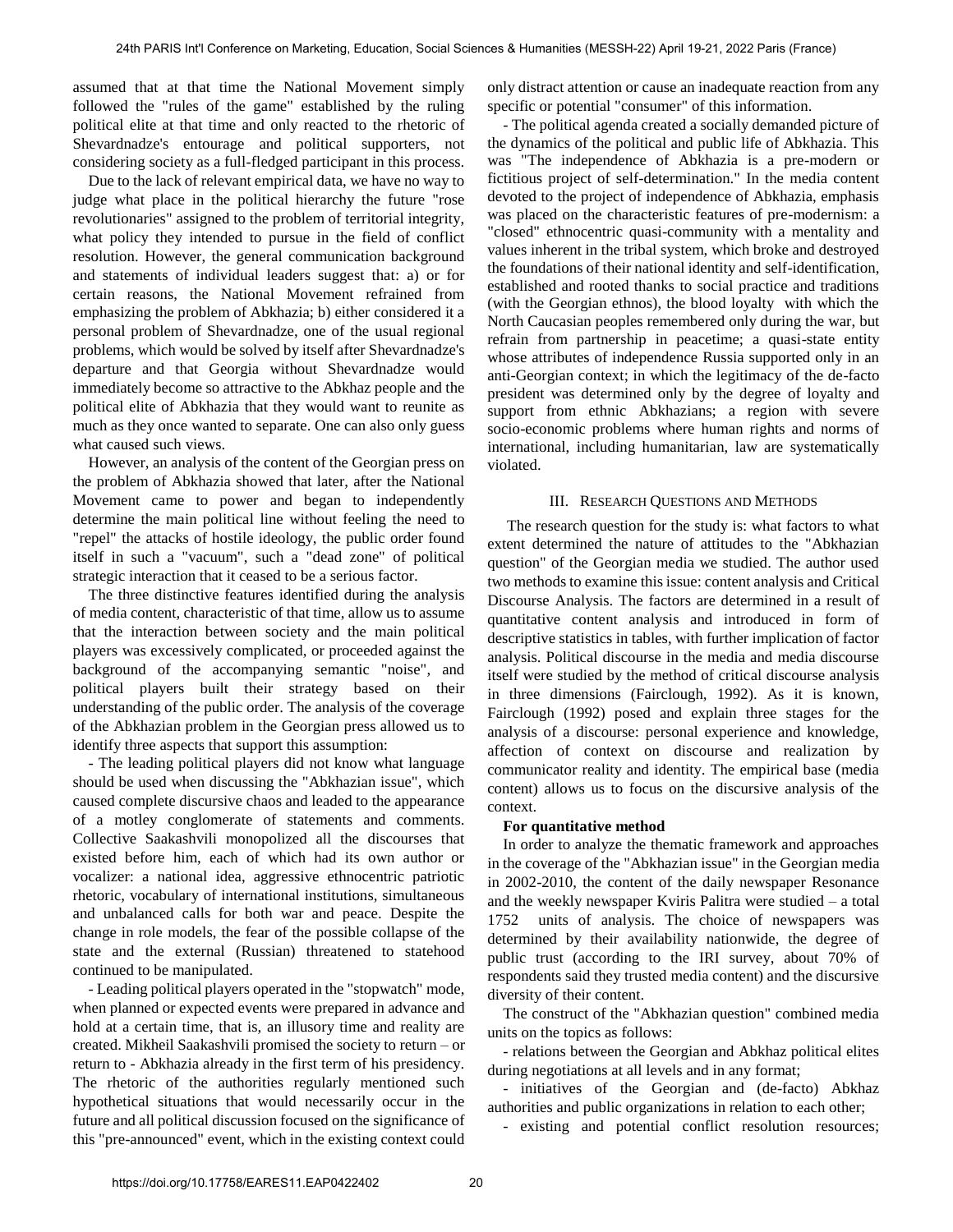assumed that at that time the National Movement simply followed the "rules of the game" established by the ruling political elite at that time and only reacted to the rhetoric of Shevardnadze's entourage and political supporters, not considering society as a full-fledged participant in this process.

Due to the lack of relevant empirical data, we have no way to judge what place in the political hierarchy the future "rose revolutionaries" assigned to the problem of territorial integrity, what policy they intended to pursue in the field of conflict resolution. However, the general communication background and statements of individual leaders suggest that: a) or for certain reasons, the National Movement refrained from emphasizing the problem of Abkhazia; b) either considered it a personal problem of Shevardnadze, one of the usual regional problems, which would be solved by itself after Shevardnadze's departure and that Georgia without Shevardnadze would immediately become so attractive to the Abkhaz people and the political elite of Abkhazia that they would want to reunite as much as they once wanted to separate. One can also only guess what caused such views.

However, an analysis of the content of the Georgian press on the problem of Abkhazia showed that later, after the National Movement came to power and began to independently determine the main political line without feeling the need to "repel" the attacks of hostile ideology, the public order found itself in such a "vacuum", such a "dead zone" of political strategic interaction that it ceased to be a serious factor.

The three distinctive features identified during the analysis of media content, characteristic of that time, allow us to assume that the interaction between society and the main political players was excessively complicated, or proceeded against the background of the accompanying semantic "noise", and political players built their strategy based on their understanding of the public order. The analysis of the coverage of the Abkhazian problem in the Georgian press allowed us to identify three aspects that support this assumption:

- The leading political players did not know what language should be used when discussing the "Abkhazian issue", which caused complete discursive chaos and leaded to the appearance of a motley conglomerate of statements and comments. Collective Saakashvili monopolized all the discourses that existed before him, each of which had its own author or vocalizer: a national idea, aggressive ethnocentric patriotic rhetoric, vocabulary of international institutions, simultaneous and unbalanced calls for both war and peace. Despite the change in role models, the fear of the possible collapse of the state and the external (Russian) threatened to statehood continued to be manipulated.

- Leading political players operated in the "stopwatch" mode, when planned or expected events were prepared in advance and hold at a certain time, that is, an illusory time and reality are created. Mikheil Saakashvili promised the society to return – or return to - Abkhazia already in the first term of his presidency. The rhetoric of the authorities regularly mentioned such hypothetical situations that would necessarily occur in the future and all political discussion focused on the significance of this "pre-announced" event, which in the existing context could only distract attention or cause an inadequate reaction from any specific or potential "consumer" of this information.

- The political agenda created a socially demanded picture of the dynamics of the political and public life of Abkhazia. This was "The independence of Abkhazia is a pre-modern or fictitious project of self-determination." In the media content devoted to the project of independence of Abkhazia, emphasis was placed on the characteristic features of pre-modernism: a "closed" ethnocentric quasi-community with a mentality and values inherent in the tribal system, which broke and destroyed the foundations of their national identity and self-identification, established and rooted thanks to social practice and traditions (with the Georgian ethnos), the blood loyalty with which the North Caucasian peoples remembered only during the war, but refrain from partnership in peacetime; a quasi-state entity whose attributes of independence Russia supported only in an anti-Georgian context; in which the legitimacy of the de-facto president was determined only by the degree of loyalty and support from ethnic Abkhazians; a region with severe socio-economic problems where human rights and norms of international, including humanitarian, law are systematically violated.

#### III. RESEARCH QUESTIONS AND METHODS

 The research question for the study is: what factors to what extent determined the nature of attitudes to the "Abkhazian question" of the Georgian media we studied. The author used two methods to examine this issue: content analysis and Critical Discourse Analysis. The factors are determined in a result of quantitative content analysis and introduced in form of descriptive statistics in tables, with further implication of factor analysis. Political discourse in the media and media discourse itself were studied by the method of critical discourse analysis in three dimensions (Fairclough, 1992). As it is known, Fairclough (1992) posed and explain three stages for the analysis of a discourse: personal experience and knowledge, affection of context on discourse and realization by communicator reality and identity. The empirical base (media content) allows us to focus on the discursive analysis of the context.

## **For quantitative method**

In order to analyze the thematic framework and approaches in the coverage of the "Abkhazian issue" in the Georgian media in 2002-2010, the content of the daily newspaper Resonance and the weekly newspaper Kviris Palitra were studied – a total 1752 units of analysis. The choice of newspapers was determined by their availability nationwide, the degree of public trust (according to the IRI survey, about 70% of respondents said they trusted media content) and the discursive diversity of their content.

The construct of the "Abkhazian question" combined media units on the topics as follows:

- relations between the Georgian and Abkhaz political elites during negotiations at all levels and in any format;

- initiatives of the Georgian and (de-facto) Abkhaz authorities and public organizations in relation to each other;

- existing and potential conflict resolution resources;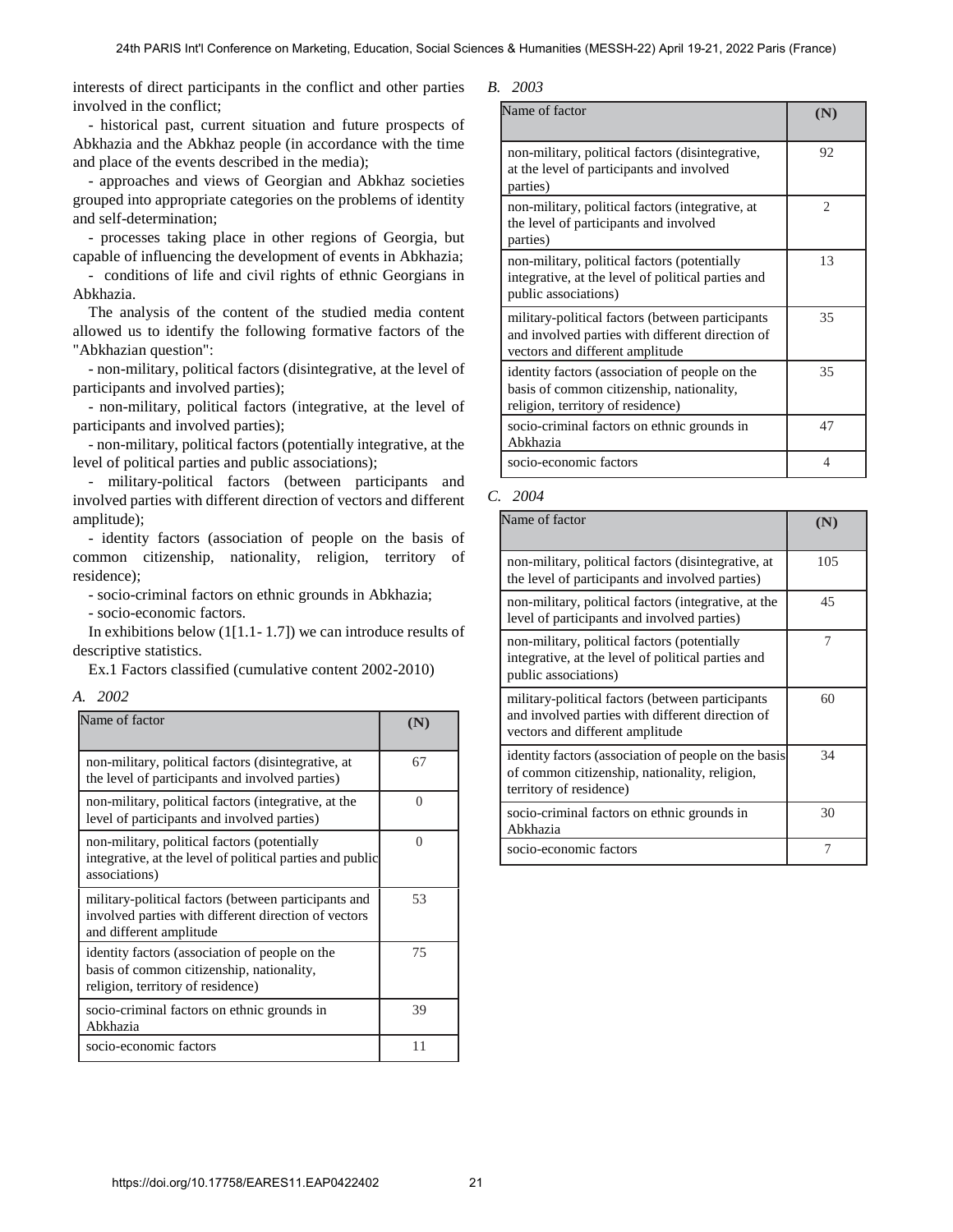interests of direct participants in the conflict and other parties involved in the conflict;

- historical past, current situation and future prospects of Abkhazia and the Abkhaz people (in accordance with the time and place of the events described in the media);

- approaches and views of Georgian and Abkhaz societies grouped into appropriate categories on the problems of identity and self-determination;

- processes taking place in other regions of Georgia, but capable of influencing the development of events in Abkhazia;

- conditions of life and civil rights of ethnic Georgians in Abkhazia.

The analysis of the content of the studied media content allowed us to identify the following formative factors of the "Abkhazian question":

- non-military, political factors (disintegrative, at the level of participants and involved parties);

- non-military, political factors (integrative, at the level of participants and involved parties);

- non-military, political factors (potentially integrative, at the level of political parties and public associations);

- military-political factors (between participants and involved parties with different direction of vectors and different amplitude);

- identity factors (association of people on the basis of common citizenship, nationality, religion, territory of residence);

- socio-criminal factors on ethnic grounds in Abkhazia;

- socio-economic factors.

In exhibitions below  $(1[1.1-1.7])$  we can introduce results of descriptive statistics.

Ex.1 Factors classified (cumulative content 2002-2010)

*A. 2002*

| Name of factor                                                                                                                          |          |
|-----------------------------------------------------------------------------------------------------------------------------------------|----------|
| non-military, political factors (disintegrative, at<br>the level of participants and involved parties)                                  | 67       |
| non-military, political factors (integrative, at the<br>level of participants and involved parties)                                     | $\Omega$ |
| non-military, political factors (potentially<br>integrative, at the level of political parties and public<br>associations)              | 0        |
| military-political factors (between participants and<br>involved parties with different direction of vectors<br>and different amplitude | 53       |
| identity factors (association of people on the<br>basis of common citizenship, nationality,<br>religion, territory of residence)        | 75       |
| socio-criminal factors on ethnic grounds in<br>Abkhazia                                                                                 | 39       |
| socio-economic factors                                                                                                                  | 11       |

| ı |
|---|
|   |

| Name of factor                                                                                                                          |                |
|-----------------------------------------------------------------------------------------------------------------------------------------|----------------|
| non-military, political factors (disintegrative,<br>at the level of participants and involved<br>parties)                               | 92             |
| non-military, political factors (integrative, at<br>the level of participants and involved<br>parties)                                  | $\mathfrak{D}$ |
| non-military, political factors (potentially<br>integrative, at the level of political parties and<br>public associations)              | 13             |
| military-political factors (between participants<br>and involved parties with different direction of<br>vectors and different amplitude | 35             |
| identity factors (association of people on the<br>basis of common citizenship, nationality,<br>religion, territory of residence)        | 35             |
| socio-criminal factors on ethnic grounds in<br>Abkhazia                                                                                 | 47             |
| socio-economic factors                                                                                                                  | 4              |

#### *C. 2004*

| Name of factor                                                                                                                          | N)  |
|-----------------------------------------------------------------------------------------------------------------------------------------|-----|
| non-military, political factors (disintegrative, at<br>the level of participants and involved parties)                                  | 105 |
| non-military, political factors (integrative, at the<br>level of participants and involved parties)                                     | 45  |
| non-military, political factors (potentially<br>integrative, at the level of political parties and<br>public associations)              | 7   |
| military-political factors (between participants<br>and involved parties with different direction of<br>vectors and different amplitude | 60  |
| identity factors (association of people on the basis<br>of common citizenship, nationality, religion,<br>territory of residence)        | 34  |
| socio-criminal factors on ethnic grounds in<br>Abkhazia                                                                                 | 30  |
| socio-economic factors                                                                                                                  |     |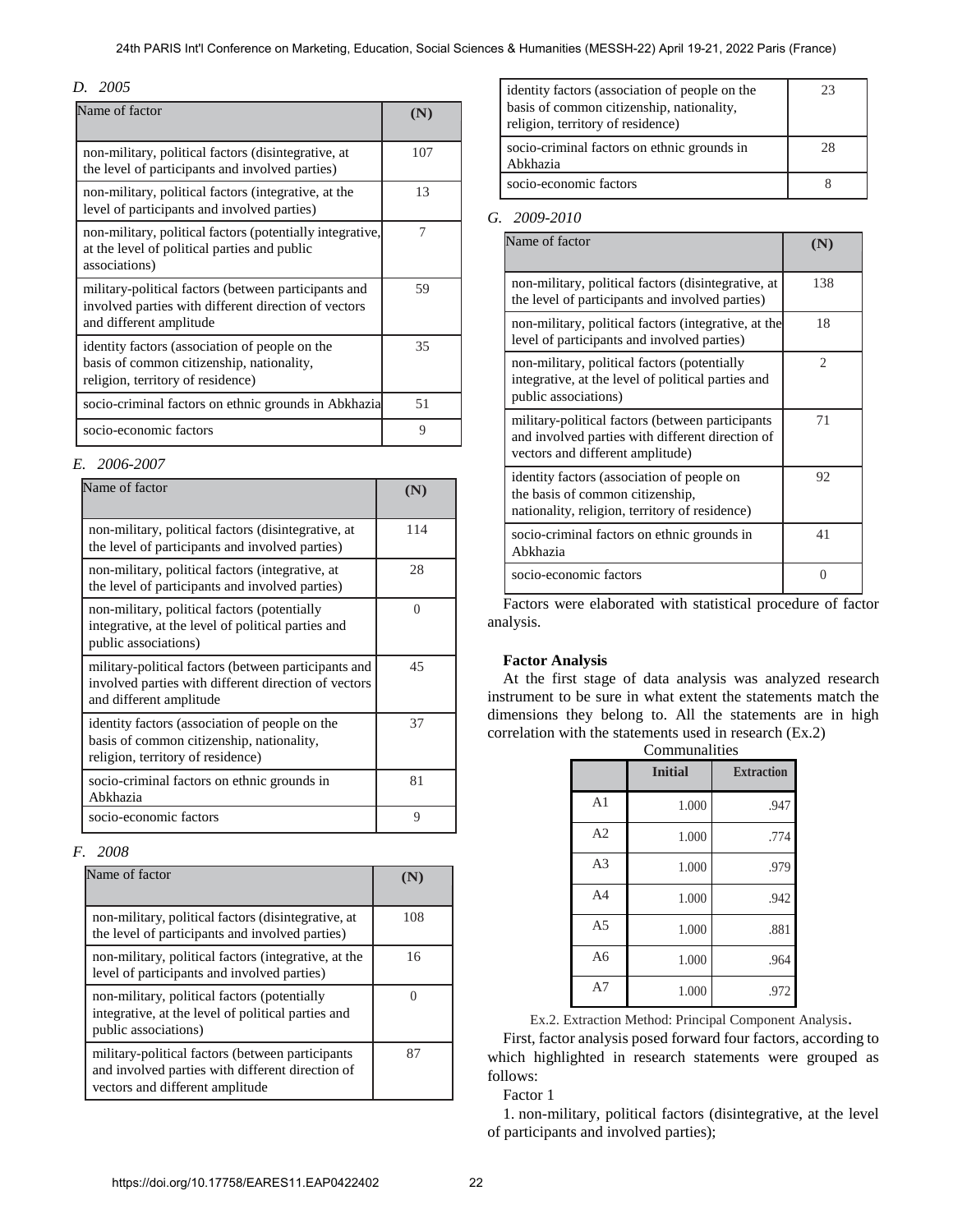#### 24th PARIS Int'l Conference on Marketing, Education, Social Sciences & Humanities (MESSH-22) April 19-21, 2022 Paris (France)

## *D. 2005*

| Name of factor                                                                                                                          | (N  |
|-----------------------------------------------------------------------------------------------------------------------------------------|-----|
| non-military, political factors (disintegrative, at<br>the level of participants and involved parties)                                  | 107 |
| non-military, political factors (integrative, at the<br>level of participants and involved parties)                                     | 13  |
| non-military, political factors (potentially integrative,<br>at the level of political parties and public<br>associations)              | 7   |
| military-political factors (between participants and<br>involved parties with different direction of vectors<br>and different amplitude | 59  |
| identity factors (association of people on the<br>basis of common citizenship, nationality,<br>religion, territory of residence)        | 35  |
| socio-criminal factors on ethnic grounds in Abkhazia                                                                                    | 51  |
| socio-economic factors                                                                                                                  | 9   |

#### *E. 2006-2007*

| Name of factor                                                                                                                          |     |
|-----------------------------------------------------------------------------------------------------------------------------------------|-----|
| non-military, political factors (disintegrative, at<br>the level of participants and involved parties)                                  | 114 |
| non-military, political factors (integrative, at<br>the level of participants and involved parties)                                     | 28  |
| non-military, political factors (potentially<br>integrative, at the level of political parties and<br>public associations)              | 0   |
| military-political factors (between participants and<br>involved parties with different direction of vectors<br>and different amplitude | 45  |
| identity factors (association of people on the<br>basis of common citizenship, nationality,<br>religion, territory of residence)        | 37  |
| socio-criminal factors on ethnic grounds in<br>Abkhazia                                                                                 | 81  |
| socio-economic factors                                                                                                                  | 9   |

## *F. 2008*

| Name of factor                                                                                                                           |     |
|------------------------------------------------------------------------------------------------------------------------------------------|-----|
| non-military, political factors (disintegrative, at<br>the level of participants and involved parties)                                   | 108 |
| non-military, political factors (integrative, at the<br>level of participants and involved parties)                                      | 16  |
| non-military, political factors (potentially<br>integrative, at the level of political parties and<br>public associations)               |     |
| military-political factors (between participants)<br>and involved parties with different direction of<br>vectors and different amplitude | 87  |

| identity factors (association of people on the<br>basis of common citizenship, nationality,<br>religion, territory of residence) | 23 |
|----------------------------------------------------------------------------------------------------------------------------------|----|
| socio-criminal factors on ethnic grounds in<br>Abkhazia                                                                          | 28 |
| socio-economic factors                                                                                                           |    |

## *G. 2009-2010*

| Name of factor                                                                                                                            |     |
|-------------------------------------------------------------------------------------------------------------------------------------------|-----|
| non-military, political factors (disintegrative, at<br>the level of participants and involved parties)                                    | 138 |
| non-military, political factors (integrative, at the<br>level of participants and involved parties)                                       | 18  |
| non-military, political factors (potentially<br>integrative, at the level of political parties and<br>public associations)                | 2   |
| military-political factors (between participants)<br>and involved parties with different direction of<br>vectors and different amplitude) | 71  |
| identity factors (association of people on<br>the basis of common citizenship,<br>nationality, religion, territory of residence)          | 92  |
| socio-criminal factors on ethnic grounds in<br>Abkhazia                                                                                   | 41  |
| socio-economic factors                                                                                                                    |     |

Factors were elaborated with statistical procedure of factor analysis.

## **Factor Analysis**

At the first stage of data analysis was analyzed research instrument to be sure in what extent the statements match the dimensions they belong to. All the statements are in high correlation with the statements used in research (Ex.2)

|                | <b>Initial</b> | <b>Extraction</b> |
|----------------|----------------|-------------------|
| A <sub>1</sub> | 1.000          | .947              |
| A2             | 1.000          | .774              |
| A <sub>3</sub> | 1.000          | .979              |
| A <sub>4</sub> | 1.000          | .942              |
| A <sub>5</sub> | 1.000          | .881              |
| A6             | 1.000          | .964              |
| A7             | 1.000          | .972              |

Ex.2. Extraction Method: Principal Component Analysis.

First, factor analysis posed forward four factors, according to which highlighted in research statements were grouped as follows:

Factor 1

1. non-military, political factors (disintegrative, at the level of participants and involved parties);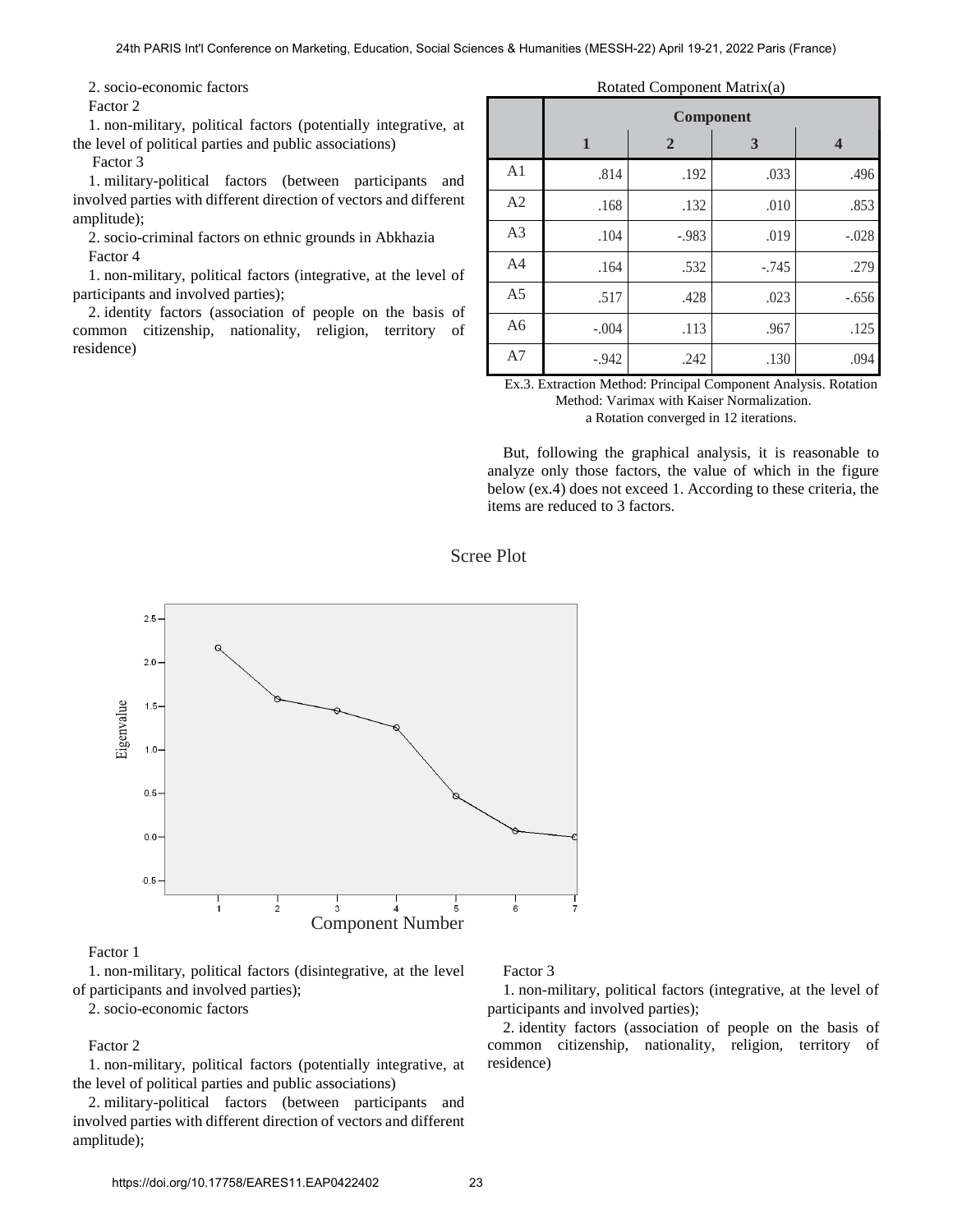2. socio-economic factors

Factor 2

1. non-military, political factors (potentially integrative, at the level of political parties and public associations)

Factor 3

1. military-political factors (between participants and involved parties with different direction of vectors and different amplitude);

2. socio-criminal factors on ethnic grounds in Abkhazia Factor 4

1. non-military, political factors (integrative, at the level of participants and involved parties);

2. identity factors (association of people on the basis of common citizenship, nationality, religion, territory of residence)

#### Rotated Component Matrix(a)

|                | Component    |                |         |                         |
|----------------|--------------|----------------|---------|-------------------------|
|                | $\mathbf{1}$ | $\overline{2}$ | 3       | $\overline{\mathbf{4}}$ |
| A <sub>1</sub> | .814         | .192           | .033    | .496                    |
| A <sub>2</sub> | .168         | .132           | .010    | .853                    |
| A <sub>3</sub> | .104         | $-.983$        | .019    | $-.028$                 |
| A <sub>4</sub> | .164         | .532           | $-.745$ | .279                    |
| A <sub>5</sub> | .517         | .428           | .023    | $-.656$                 |
| A <sub>6</sub> | $-.004$      | .113           | .967    | .125                    |
| A7             | $-0.942$     | .242           | .130    | .094                    |

Ex.3. Extraction Method: Principal Component Analysis. Rotation Method: Varimax with Kaiser Normalization. a Rotation converged in 12 iterations.

But, following the graphical analysis, it is reasonable to analyze only those factors, the value of which in the figure below (ex.4) does not exceed 1. According to these criteria, the items are reduced to 3 factors.

Scree Plot



#### Factor 1

1. non-military, political factors (disintegrative, at the level of participants and involved parties);

2. socio-economic factors

## Factor 2

1. non-military, political factors (potentially integrative, at the level of political parties and public associations)

2. military-political factors (between participants and involved parties with different direction of vectors and different amplitude);

#### Factor 3

1. non-military, political factors (integrative, at the level of participants and involved parties);

2. identity factors (association of people on the basis of common citizenship, nationality, religion, territory of residence)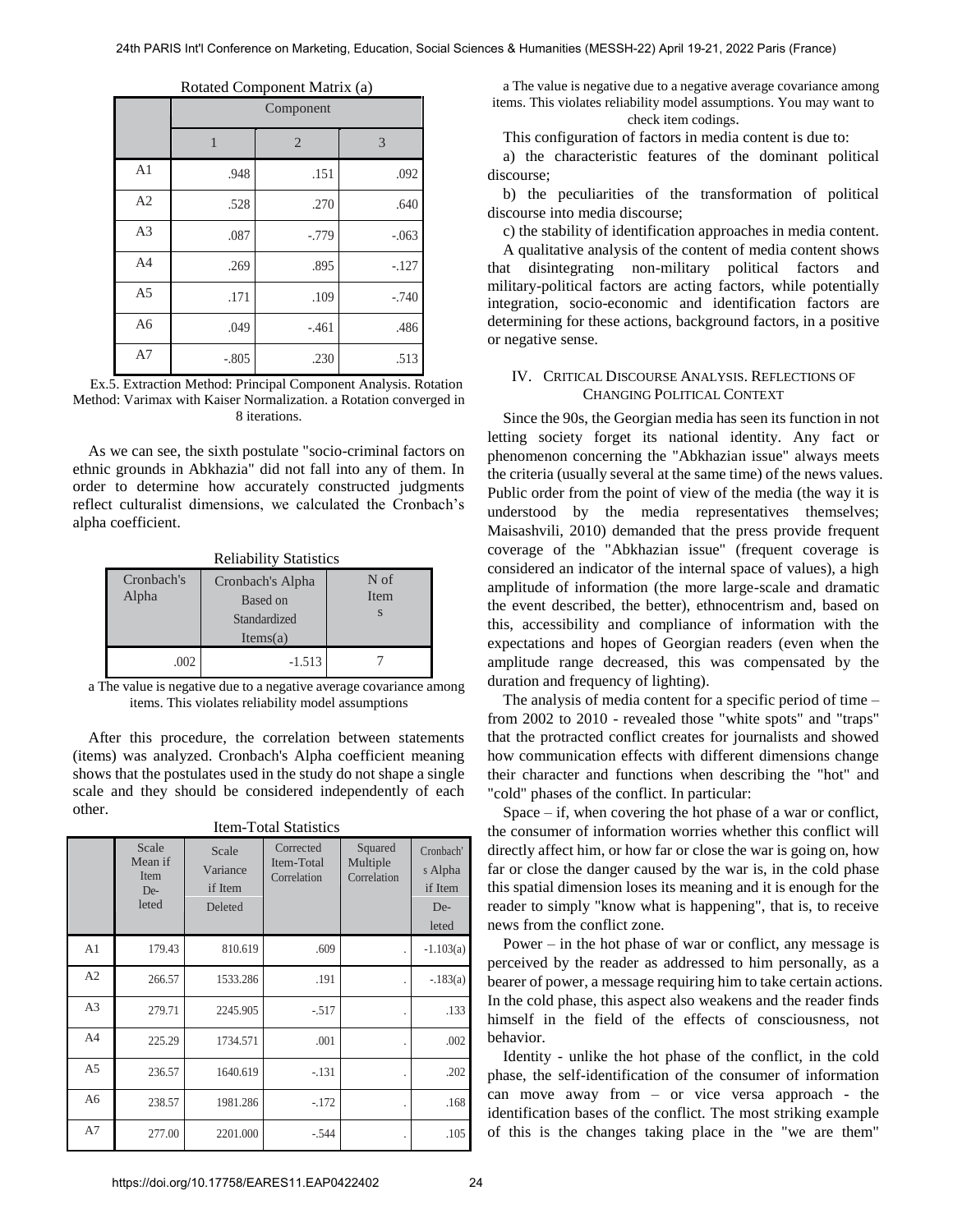|                | Rotated Component Ividitize (a)<br>Component |                |          |
|----------------|----------------------------------------------|----------------|----------|
|                | 1                                            | $\overline{2}$ | 3        |
| A <sub>1</sub> | .948                                         | .151           | .092     |
| A2             | .528                                         | .270           | .640     |
| A <sub>3</sub> | .087                                         | $-0.779$       | $-.063$  |
| A4             | .269                                         | .895           | $-.127$  |
| A <sub>5</sub> | .171                                         | .109           | $-0.740$ |
| A <sub>6</sub> | .049                                         | $-.461$        | .486     |
| A7             | $-.805$                                      | .230           | .513     |

Rotated Component Matrix (a)

Ex.5. Extraction Method: Principal Component Analysis. Rotation Method: Varimax with Kaiser Normalization. a Rotation converged in 8 iterations.

As we can see, the sixth postulate "socio-criminal factors on ethnic grounds in Abkhazia" did not fall into any of them. In order to determine how accurately constructed judgments reflect culturalist dimensions, we calculated the Cronbach's alpha coefficient.

| Renability Statistics |                                                          |                   |  |  |  |  |  |
|-----------------------|----------------------------------------------------------|-------------------|--|--|--|--|--|
| Cronbach's<br>Alpha   | Cronbach's Alpha<br>Based on<br>Standardized<br>Items(a) | N of<br>Item<br>S |  |  |  |  |  |
| .002                  | $-1.513$                                                 |                   |  |  |  |  |  |

Reliability Statistics

a The value is negative due to a negative average covariance among items. This violates reliability model assumptions

After this procedure, the correlation between statements (items) was analyzed. Cronbach's Alpha coefficient meaning shows that the postulates used in the study do not shape a single scale and they should be considered independently of each other.

| nchi-i olah statistics |                                          |                                         |                                        |                                    |                                                 |  |  |
|------------------------|------------------------------------------|-----------------------------------------|----------------------------------------|------------------------------------|-------------------------------------------------|--|--|
|                        | Scale<br>Mean if<br>Item<br>De-<br>leted | Scale<br>Variance<br>if Item<br>Deleted | Corrected<br>Item-Total<br>Correlation | Squared<br>Multiple<br>Correlation | Cronbach'<br>s Alpha<br>if Item<br>De-<br>leted |  |  |
| A <sub>1</sub>         | 179.43                                   | 810.619                                 | .609                                   |                                    | $-1.103(a)$                                     |  |  |
| A2                     | 266.57                                   | 1533.286                                | .191                                   |                                    | $-183(a)$                                       |  |  |
| A <sub>3</sub>         | 279.71                                   | 2245.905                                | $-.517$                                |                                    | .133                                            |  |  |
| A <sub>4</sub>         | 225.29                                   | 1734.571                                | .001                                   |                                    | .002                                            |  |  |
| A <sub>5</sub>         | 236.57                                   | 1640.619                                | $-.131$                                |                                    | .202                                            |  |  |
| A6                     | 238.57                                   | 1981.286                                | $-.172$                                |                                    | .168                                            |  |  |
| A7                     | 277.00                                   | 2201.000                                | $-.544$                                |                                    | .105                                            |  |  |

Item-Total Statistics

a The value is negative due to a negative average covariance among items. This violates reliability model assumptions. You may want to check item codings.

This configuration of factors in media content is due to:

a) the characteristic features of the dominant political discourse;

b) the peculiarities of the transformation of political discourse into media discourse;

c) the stability of identification approaches in media content.

A qualitative analysis of the content of media content shows that disintegrating non-military political factors and military-political factors are acting factors, while potentially integration, socio-economic and identification factors are determining for these actions, background factors, in a positive or negative sense.

#### IV. CRITICAL DISCOURSE ANALYSIS. REFLECTIONS OF CHANGING POLITICAL CONTEXT

Since the 90s, the Georgian media has seen its function in not letting society forget its national identity. Any fact or phenomenon concerning the "Abkhazian issue" always meets the criteria (usually several at the same time) of the news values. Public order from the point of view of the media (the way it is understood by the media representatives themselves; Maisashvili, 2010) demanded that the press provide frequent coverage of the "Abkhazian issue" (frequent coverage is considered an indicator of the internal space of values), a high amplitude of information (the more large-scale and dramatic the event described, the better), ethnocentrism and, based on this, accessibility and compliance of information with the expectations and hopes of Georgian readers (even when the amplitude range decreased, this was compensated by the duration and frequency of lighting).

The analysis of media content for a specific period of time – from 2002 to 2010 - revealed those "white spots" and "traps" that the protracted conflict creates for journalists and showed how communication effects with different dimensions change their character and functions when describing the "hot" and "cold" phases of the conflict. In particular:

Space – if, when covering the hot phase of a war or conflict, the consumer of information worries whether this conflict will directly affect him, or how far or close the war is going on, how far or close the danger caused by the war is, in the cold phase this spatial dimension loses its meaning and it is enough for the reader to simply "know what is happening", that is, to receive news from the conflict zone.

Power – in the hot phase of war or conflict, any message is perceived by the reader as addressed to him personally, as a bearer of power, a message requiring him to take certain actions. In the cold phase, this aspect also weakens and the reader finds himself in the field of the effects of consciousness, not behavior.

Identity - unlike the hot phase of the conflict, in the cold phase, the self-identification of the consumer of information can move away from – or vice versa approach - the identification bases of the conflict. The most striking example of this is the changes taking place in the "we are them"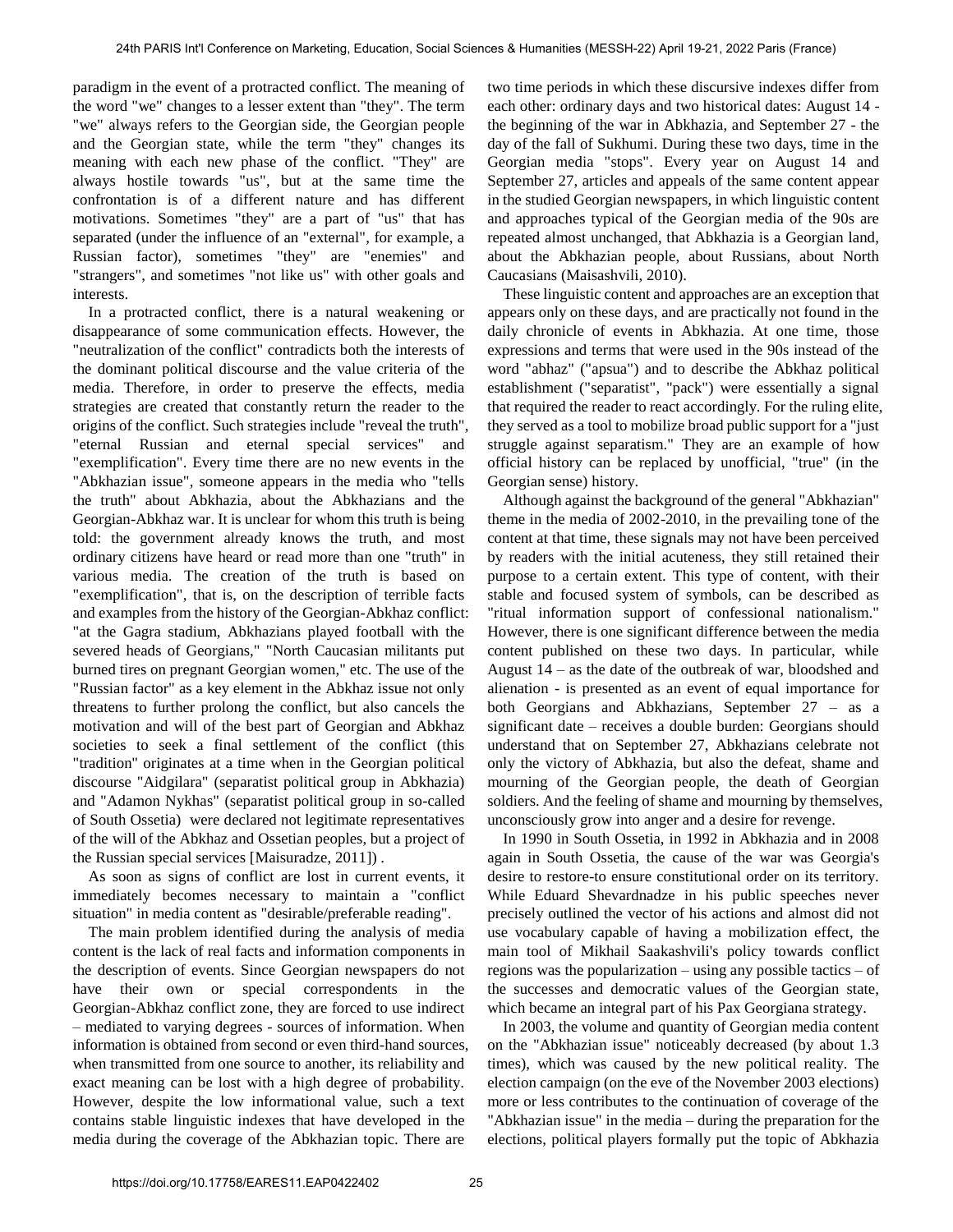paradigm in the event of a protracted conflict. The meaning of the word "we" changes to a lesser extent than "they". The term "we" always refers to the Georgian side, the Georgian people and the Georgian state, while the term "they" changes its meaning with each new phase of the conflict. "They" are always hostile towards "us", but at the same time the confrontation is of a different nature and has different motivations. Sometimes "they" are a part of "us" that has separated (under the influence of an "external", for example, a Russian factor), sometimes "they" are "enemies" and "strangers", and sometimes "not like us" with other goals and interests.

In a protracted conflict, there is a natural weakening or disappearance of some communication effects. However, the "neutralization of the conflict" contradicts both the interests of the dominant political discourse and the value criteria of the media. Therefore, in order to preserve the effects, media strategies are created that constantly return the reader to the origins of the conflict. Such strategies include "reveal the truth", "eternal Russian and eternal special services" and "exemplification". Every time there are no new events in the "Abkhazian issue", someone appears in the media who "tells the truth" about Abkhazia, about the Abkhazians and the Georgian-Abkhaz war. It is unclear for whom this truth is being told: the government already knows the truth, and most ordinary citizens have heard or read more than one "truth" in various media. The creation of the truth is based on "exemplification", that is, on the description of terrible facts and examples from the history of the Georgian-Abkhaz conflict: "at the Gagra stadium, Abkhazians played football with the severed heads of Georgians," "North Caucasian militants put burned tires on pregnant Georgian women," etc. The use of the "Russian factor" as a key element in the Abkhaz issue not only threatens to further prolong the conflict, but also cancels the motivation and will of the best part of Georgian and Abkhaz societies to seek a final settlement of the conflict (this "tradition" originates at a time when in the Georgian political discourse "Aidgilara" (separatist political group in Abkhazia) and "Adamon Nykhas" (separatist political group in so-called of South Ossetia) were declared not legitimate representatives of the will of the Abkhaz and Ossetian peoples, but a project of the Russian special services [Maisuradze, 2011]) .

As soon as signs of conflict are lost in current events, it immediately becomes necessary to maintain a "conflict situation" in media content as "desirable/preferable reading".

The main problem identified during the analysis of media content is the lack of real facts and information components in the description of events. Since Georgian newspapers do not have their own or special correspondents in the Georgian-Abkhaz conflict zone, they are forced to use indirect – mediated to varying degrees - sources of information. When information is obtained from second or even third-hand sources, when transmitted from one source to another, its reliability and exact meaning can be lost with a high degree of probability. However, despite the low informational value, such a text contains stable linguistic indexes that have developed in the media during the coverage of the Abkhazian topic. There are

two time periods in which these discursive indexes differ from each other: ordinary days and two historical dates: August 14 the beginning of the war in Abkhazia, and September 27 - the day of the fall of Sukhumi. During these two days, time in the Georgian media "stops". Every year on August 14 and September 27, articles and appeals of the same content appear in the studied Georgian newspapers, in which linguistic content and approaches typical of the Georgian media of the 90s are repeated almost unchanged, that Abkhazia is a Georgian land, about the Abkhazian people, about Russians, about North Caucasians (Maisashvili, 2010).

These linguistic content and approaches are an exception that appears only on these days, and are practically not found in the daily chronicle of events in Abkhazia. At one time, those expressions and terms that were used in the 90s instead of the word "abhaz" ("apsua") and to describe the Abkhaz political establishment ("separatist", "pack") were essentially a signal that required the reader to react accordingly. For the ruling elite, they served as a tool to mobilize broad public support for a "just struggle against separatism." They are an example of how official history can be replaced by unofficial, "true" (in the Georgian sense) history.

Although against the background of the general "Abkhazian" theme in the media of 2002-2010, in the prevailing tone of the content at that time, these signals may not have been perceived by readers with the initial acuteness, they still retained their purpose to a certain extent. This type of content, with their stable and focused system of symbols, can be described as "ritual information support of confessional nationalism." However, there is one significant difference between the media content published on these two days. In particular, while August 14 – as the date of the outbreak of war, bloodshed and alienation - is presented as an event of equal importance for both Georgians and Abkhazians, September 27 – as a significant date – receives a double burden: Georgians should understand that on September 27, Abkhazians celebrate not only the victory of Abkhazia, but also the defeat, shame and mourning of the Georgian people, the death of Georgian soldiers. And the feeling of shame and mourning by themselves, unconsciously grow into anger and a desire for revenge.

In 1990 in South Ossetia, in 1992 in Abkhazia and in 2008 again in South Ossetia, the cause of the war was Georgia's desire to restore-to ensure constitutional order on its territory. While Eduard Shevardnadze in his public speeches never precisely outlined the vector of his actions and almost did not use vocabulary capable of having a mobilization effect, the main tool of Mikhail Saakashvili's policy towards conflict regions was the popularization – using any possible tactics – of the successes and democratic values of the Georgian state, which became an integral part of his Pax Georgiana strategy.

In 2003, the volume and quantity of Georgian media content on the "Abkhazian issue" noticeably decreased (by about 1.3 times), which was caused by the new political reality. The election campaign (on the eve of the November 2003 elections) more or less contributes to the continuation of coverage of the "Abkhazian issue" in the media – during the preparation for the elections, political players formally put the topic of Abkhazia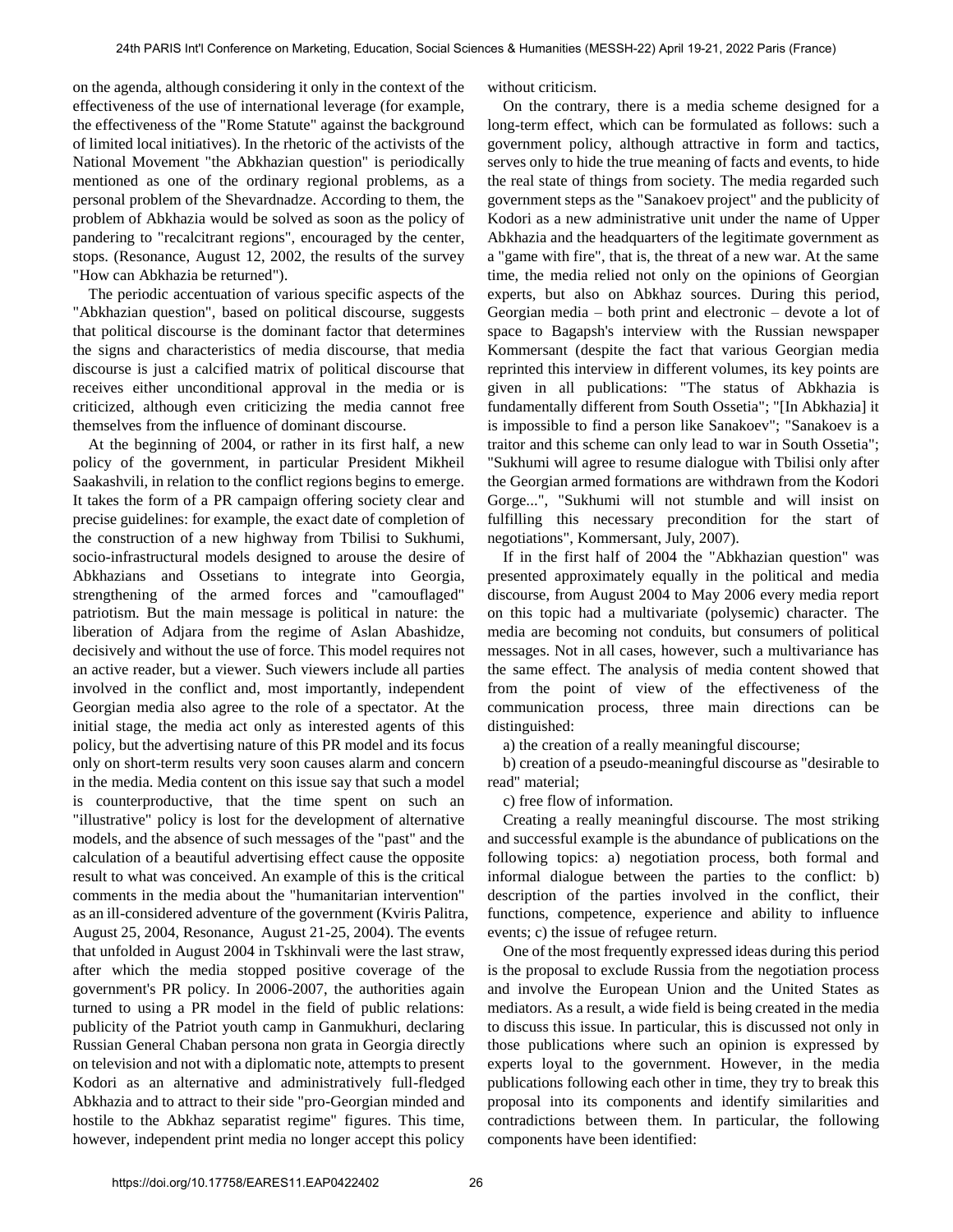on the agenda, although considering it only in the context of the effectiveness of the use of international leverage (for example, the effectiveness of the "Rome Statute" against the background of limited local initiatives). In the rhetoric of the activists of the National Movement "the Abkhazian question" is periodically mentioned as one of the ordinary regional problems, as a personal problem of the Shevardnadze. According to them, the problem of Abkhazia would be solved as soon as the policy of pandering to "recalcitrant regions", encouraged by the center, stops. (Resonance, August 12, 2002, the results of the survey "How can Abkhazia be returned").

The periodic accentuation of various specific aspects of the "Abkhazian question", based on political discourse, suggests that political discourse is the dominant factor that determines the signs and characteristics of media discourse, that media discourse is just a calcified matrix of political discourse that receives either unconditional approval in the media or is criticized, although even criticizing the media cannot free themselves from the influence of dominant discourse.

At the beginning of 2004, or rather in its first half, a new policy of the government, in particular President Mikheil Saakashvili, in relation to the conflict regions begins to emerge. It takes the form of a PR campaign offering society clear and precise guidelines: for example, the exact date of completion of the construction of a new highway from Tbilisi to Sukhumi, socio-infrastructural models designed to arouse the desire of Abkhazians and Ossetians to integrate into Georgia, strengthening of the armed forces and "camouflaged" patriotism. But the main message is political in nature: the liberation of Adjara from the regime of Aslan Abashidze, decisively and without the use of force. This model requires not an active reader, but a viewer. Such viewers include all parties involved in the conflict and, most importantly, independent Georgian media also agree to the role of a spectator. At the initial stage, the media act only as interested agents of this policy, but the advertising nature of this PR model and its focus only on short-term results very soon causes alarm and concern in the media. Media content on this issue say that such a model is counterproductive, that the time spent on such an "illustrative" policy is lost for the development of alternative models, and the absence of such messages of the "past" and the calculation of a beautiful advertising effect cause the opposite result to what was conceived. An example of this is the critical comments in the media about the "humanitarian intervention" as an ill-considered adventure of the government (Kviris Palitra, August 25, 2004, Resonance, August 21-25, 2004). The events that unfolded in August 2004 in Tskhinvali were the last straw, after which the media stopped positive coverage of the government's PR policy. In 2006-2007, the authorities again turned to using a PR model in the field of public relations: publicity of the Patriot youth camp in Ganmukhuri, declaring Russian General Chaban persona non grata in Georgia directly on television and not with a diplomatic note, attempts to present Kodori as an alternative and administratively full-fledged Abkhazia and to attract to their side "pro-Georgian minded and hostile to the Abkhaz separatist regime" figures. This time, however, independent print media no longer accept this policy

without criticism.

On the contrary, there is a media scheme designed for a long-term effect, which can be formulated as follows: such a government policy, although attractive in form and tactics, serves only to hide the true meaning of facts and events, to hide the real state of things from society. The media regarded such government steps as the "Sanakoev project" and the publicity of Kodori as a new administrative unit under the name of Upper Abkhazia and the headquarters of the legitimate government as a "game with fire", that is, the threat of a new war. At the same time, the media relied not only on the opinions of Georgian experts, but also on Abkhaz sources. During this period, Georgian media – both print and electronic – devote a lot of space to Bagapsh's interview with the Russian newspaper Kommersant (despite the fact that various Georgian media reprinted this interview in different volumes, its key points are given in all publications: "The status of Abkhazia is fundamentally different from South Ossetia"; "[In Abkhazia] it is impossible to find a person like Sanakoev"; "Sanakoev is a traitor and this scheme can only lead to war in South Ossetia"; "Sukhumi will agree to resume dialogue with Tbilisi only after the Georgian armed formations are withdrawn from the Kodori Gorge...", "Sukhumi will not stumble and will insist on fulfilling this necessary precondition for the start of negotiations", Kommersant, July, 2007).

If in the first half of 2004 the "Abkhazian question" was presented approximately equally in the political and media discourse, from August 2004 to May 2006 every media report on this topic had a multivariate (polysemic) character. The media are becoming not conduits, but consumers of political messages. Not in all cases, however, such a multivariance has the same effect. The analysis of media content showed that from the point of view of the effectiveness of the communication process, three main directions can be distinguished:

a) the creation of a really meaningful discourse;

b) creation of a pseudo-meaningful discourse as "desirable to read" material;

c) free flow of information.

Creating a really meaningful discourse. The most striking and successful example is the abundance of publications on the following topics: a) negotiation process, both formal and informal dialogue between the parties to the conflict: b) description of the parties involved in the conflict, their functions, competence, experience and ability to influence events; c) the issue of refugee return.

One of the most frequently expressed ideas during this period is the proposal to exclude Russia from the negotiation process and involve the European Union and the United States as mediators. As a result, a wide field is being created in the media to discuss this issue. In particular, this is discussed not only in those publications where such an opinion is expressed by experts loyal to the government. However, in the media publications following each other in time, they try to break this proposal into its components and identify similarities and contradictions between them. In particular, the following components have been identified: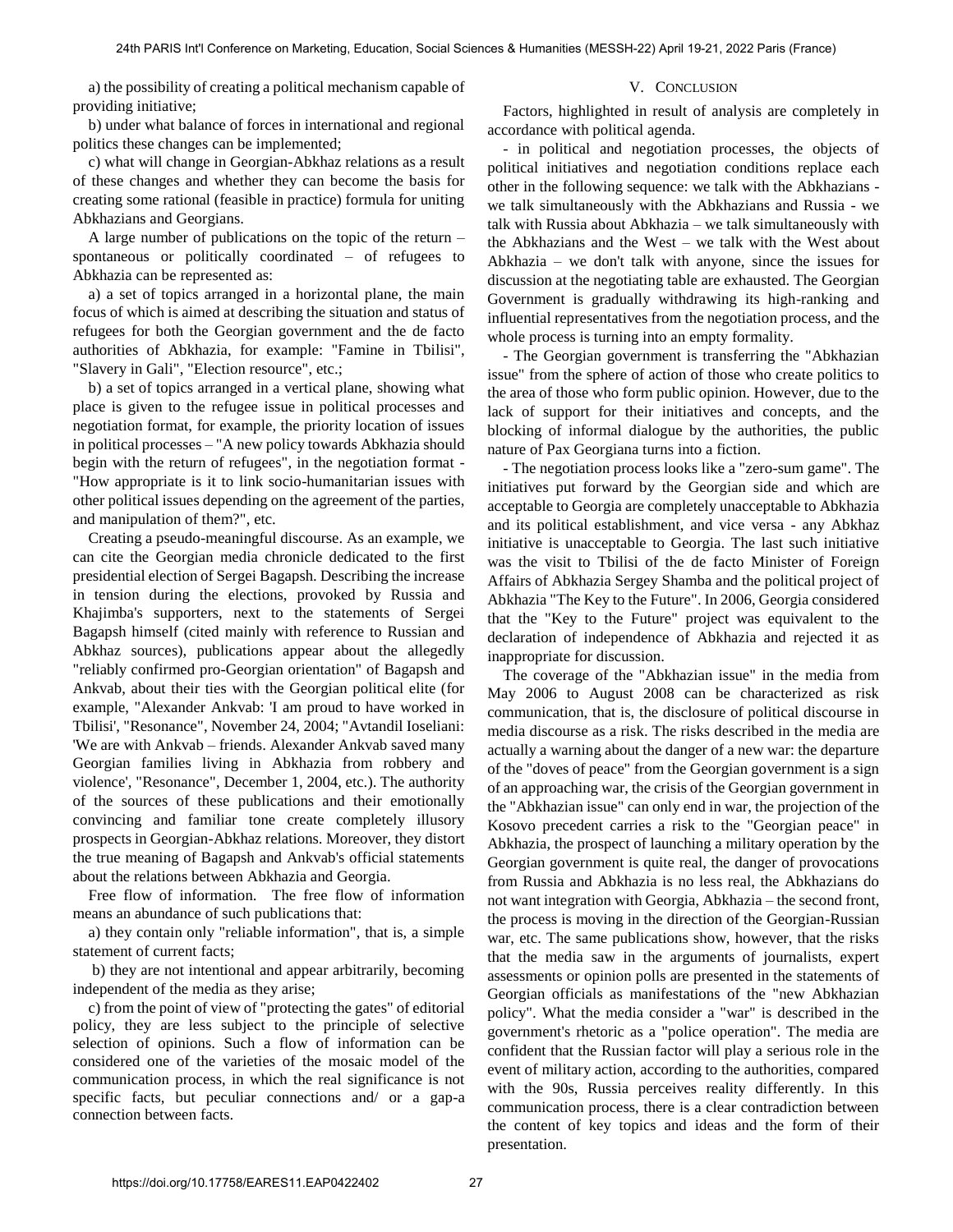a) the possibility of creating a political mechanism capable of providing initiative;

## V. CONCLUSION

b) under what balance of forces in international and regional politics these changes can be implemented;

c) what will change in Georgian-Abkhaz relations as a result of these changes and whether they can become the basis for creating some rational (feasible in practice) formula for uniting Abkhazians and Georgians.

A large number of publications on the topic of the return – spontaneous or politically coordinated – of refugees to Abkhazia can be represented as:

a) a set of topics arranged in a horizontal plane, the main focus of which is aimed at describing the situation and status of refugees for both the Georgian government and the de facto authorities of Abkhazia, for example: "Famine in Tbilisi", "Slavery in Gali", "Election resource", etc.;

b) a set of topics arranged in a vertical plane, showing what place is given to the refugee issue in political processes and negotiation format, for example, the priority location of issues in political processes – "A new policy towards Abkhazia should begin with the return of refugees", in the negotiation format - "How appropriate is it to link socio-humanitarian issues with other political issues depending on the agreement of the parties, and manipulation of them?", etc.

Creating a pseudo-meaningful discourse. As an example, we can cite the Georgian media chronicle dedicated to the first presidential election of Sergei Bagapsh. Describing the increase in tension during the elections, provoked by Russia and Khajimba's supporters, next to the statements of Sergei Bagapsh himself (cited mainly with reference to Russian and Abkhaz sources), publications appear about the allegedly "reliably confirmed pro-Georgian orientation" of Bagapsh and Ankvab, about their ties with the Georgian political elite (for example, "Alexander Ankvab: 'I am proud to have worked in Tbilisi', "Resonance", November 24, 2004; "Avtandil Ioseliani: 'We are with Ankvab – friends. Alexander Ankvab saved many Georgian families living in Abkhazia from robbery and violence', "Resonance", December 1, 2004, etc.). The authority of the sources of these publications and their emotionally convincing and familiar tone create completely illusory prospects in Georgian-Abkhaz relations. Moreover, they distort the true meaning of Bagapsh and Ankvab's official statements about the relations between Abkhazia and Georgia.

Free flow of information. The free flow of information means an abundance of such publications that:

a) they contain only "reliable information", that is, a simple statement of current facts;

 b) they are not intentional and appear arbitrarily, becoming independent of the media as they arise;

c) from the point of view of "protecting the gates" of editorial policy, they are less subject to the principle of selective selection of opinions. Such a flow of information can be considered one of the varieties of the mosaic model of the communication process, in which the real significance is not specific facts, but peculiar connections and/ or a gap-a connection between facts.

Factors, highlighted in result of analysis are completely in accordance with political agenda.

- in political and negotiation processes, the objects of political initiatives and negotiation conditions replace each other in the following sequence: we talk with the Abkhazians we talk simultaneously with the Abkhazians and Russia - we talk with Russia about Abkhazia – we talk simultaneously with the Abkhazians and the West – we talk with the West about Abkhazia – we don't talk with anyone, since the issues for discussion at the negotiating table are exhausted. The Georgian Government is gradually withdrawing its high-ranking and influential representatives from the negotiation process, and the whole process is turning into an empty formality.

- The Georgian government is transferring the "Abkhazian issue" from the sphere of action of those who create politics to the area of those who form public opinion. However, due to the lack of support for their initiatives and concepts, and the blocking of informal dialogue by the authorities, the public nature of Pax Georgiana turns into a fiction.

- The negotiation process looks like a "zero-sum game". The initiatives put forward by the Georgian side and which are acceptable to Georgia are completely unacceptable to Abkhazia and its political establishment, and vice versa - any Abkhaz initiative is unacceptable to Georgia. The last such initiative was the visit to Tbilisi of the de facto Minister of Foreign Affairs of Abkhazia Sergey Shamba and the political project of Abkhazia "The Key to the Future". In 2006, Georgia considered that the "Key to the Future" project was equivalent to the declaration of independence of Abkhazia and rejected it as inappropriate for discussion.

The coverage of the "Abkhazian issue" in the media from May 2006 to August 2008 can be characterized as risk communication, that is, the disclosure of political discourse in media discourse as a risk. The risks described in the media are actually a warning about the danger of a new war: the departure of the "doves of peace" from the Georgian government is a sign of an approaching war, the crisis of the Georgian government in the "Abkhazian issue" can only end in war, the projection of the Kosovo precedent carries a risk to the "Georgian peace" in Abkhazia, the prospect of launching a military operation by the Georgian government is quite real, the danger of provocations from Russia and Abkhazia is no less real, the Abkhazians do not want integration with Georgia, Abkhazia – the second front, the process is moving in the direction of the Georgian-Russian war, etc. The same publications show, however, that the risks that the media saw in the arguments of journalists, expert assessments or opinion polls are presented in the statements of Georgian officials as manifestations of the "new Abkhazian policy". What the media consider a "war" is described in the government's rhetoric as a "police operation". The media are confident that the Russian factor will play a serious role in the event of military action, according to the authorities, compared with the 90s, Russia perceives reality differently. In this communication process, there is a clear contradiction between the content of key topics and ideas and the form of their presentation.